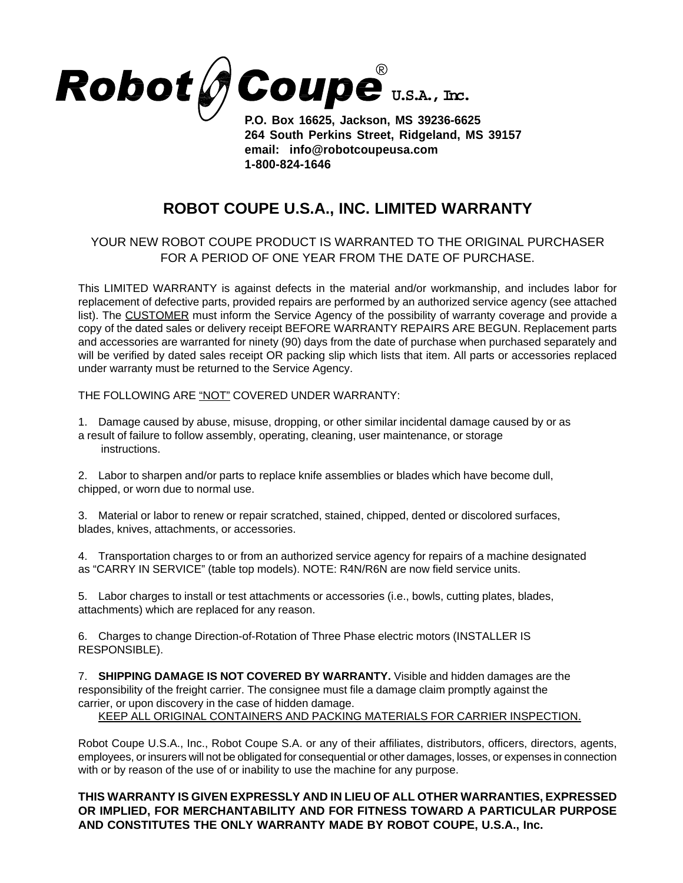

**P.O. Box 16625, Jackson, MS 39236-6625 264 South Perkins Street, Ridgeland, MS 39157 email: info@robotcoupeusa.com 1-800-824-1646**

## **ROBOT COUPE U.S.A., INC. LIMITED WARRANTY**

## YOUR NEW ROBOT COUPE PRODUCT IS WARRANTED TO THE ORIGINAL PURCHASER FOR A PERIOD OF ONE YEAR FROM THE DATE OF PURCHASE.

This LIMITED WARRANTY is against defects in the material and/or workmanship, and includes labor for replacement of defective parts, provided repairs are performed by an authorized service agency (see attached list). The CUSTOMER must inform the Service Agency of the possibility of warranty coverage and provide a copy of the dated sales or delivery receipt BEFORE WARRANTY REPAIRS ARE BEGUN. Replacement parts and accessories are warranted for ninety (90) days from the date of purchase when purchased separately and will be verified by dated sales receipt OR packing slip which lists that item. All parts or accessories replaced under warranty must be returned to the Service Agency.

THE FOLLOWING ARE "NOT" COVERED UNDER WARRANTY:

1. Damage caused by abuse, misuse, dropping, or other similar incidental damage caused by or as a result of failure to follow assembly, operating, cleaning, user maintenance, or storage instructions.

2. Labor to sharpen and/or parts to replace knife assemblies or blades which have become dull, chipped, or worn due to normal use.

3. Material or labor to renew or repair scratched, stained, chipped, dented or discolored surfaces, blades, knives, attachments, or accessories.

4. Transportation charges to or from an authorized service agency for repairs of a machine designated as "CARRY IN SERVICE" (table top models). NOTE: R4N/R6N are now field service units.

5. Labor charges to install or test attachments or accessories (i.e., bowls, cutting plates, blades, attachments) which are replaced for any reason.

6. Charges to change Direction-of-Rotation of Three Phase electric motors (INSTALLER IS RESPONSIBLE).

7. **SHIPPING DAMAGE IS NOT COVERED BY WARRANTY.** Visible and hidden damages are the responsibility of the freight carrier. The consignee must file a damage claim promptly against the carrier, or upon discovery in the case of hidden damage.

KEEP ALL ORIGINAL CONTAINERS AND PACKING MATERIALS FOR CARRIER INSPECTION.

Robot Coupe U.S.A., Inc., Robot Coupe S.A. or any of their affiliates, distributors, officers, directors, agents, employees, or insurers will not be obligated for consequential or other damages, losses, or expenses in connection with or by reason of the use of or inability to use the machine for any purpose.

## **THIS WARRANTY IS GIVEN EXPRESSLY AND IN LIEU OF ALL OTHER WARRANTIES, EXPRESSED OR IMPLIED, FOR MERCHANTABILITY AND FOR FITNESS TOWARD A PARTICULAR PURPOSE AND CONSTITUTES THE ONLY WARRANTY MADE BY ROBOT COUPE, U.S.A., Inc.**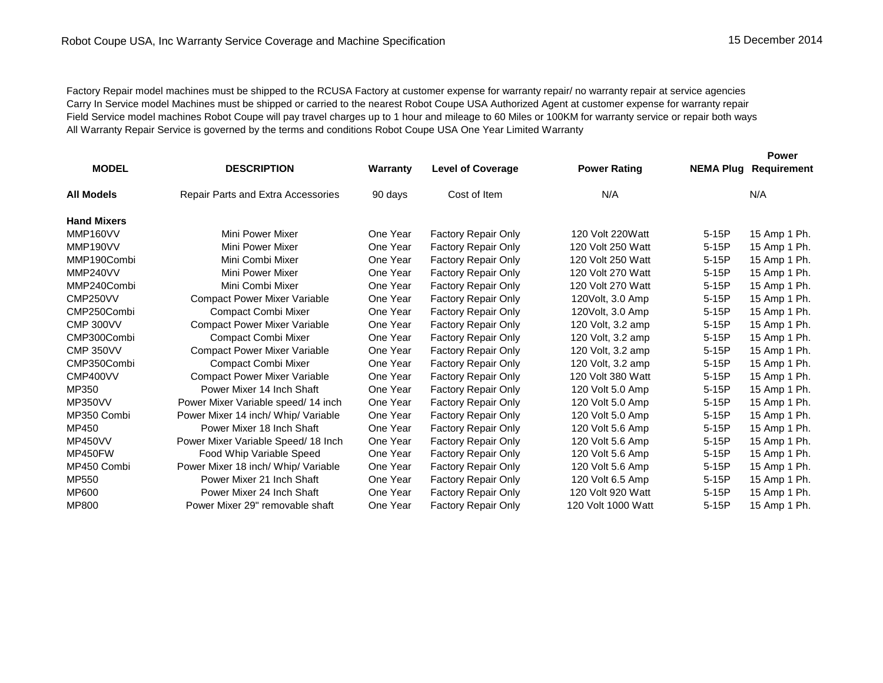Factory Repair model machines must be shipped to the RCUSA Factory at customer expense for warranty repair/ no warranty repair at service agencies Carry In Service model Machines must be shipped or carried to the nearest Robot Coupe USA Authorized Agent at customer expense for warranty repair Field Service model machines Robot Coupe will pay travel charges up to 1 hour and mileage to 60 Miles or 100KM for warranty service or repair both ways All Warranty Repair Service is governed by the terms and conditions Robot Coupe USA One Year Limited Warranty

|                    |                                           |          |                            |                     |         | <b>Power</b>                 |  |
|--------------------|-------------------------------------------|----------|----------------------------|---------------------|---------|------------------------------|--|
| <b>MODEL</b>       | <b>DESCRIPTION</b>                        | Warranty | <b>Level of Coverage</b>   | <b>Power Rating</b> |         | <b>NEMA Plug Requirement</b> |  |
| <b>All Models</b>  | <b>Repair Parts and Extra Accessories</b> | 90 days  | Cost of Item               | N/A                 |         | N/A                          |  |
| <b>Hand Mixers</b> |                                           |          |                            |                     |         |                              |  |
| MMP160VV           | Mini Power Mixer                          | One Year | Factory Repair Only        | 120 Volt 220Watt    | $5-15P$ | 15 Amp 1 Ph.                 |  |
| MMP190VV           | Mini Power Mixer                          | One Year | Factory Repair Only        | 120 Volt 250 Watt   | $5-15P$ | 15 Amp 1 Ph.                 |  |
| MMP190Combi        | Mini Combi Mixer                          | One Year | Factory Repair Only        | 120 Volt 250 Watt   | 5-15P   | 15 Amp 1 Ph.                 |  |
| MMP240VV           | Mini Power Mixer                          | One Year | Factory Repair Only        | 120 Volt 270 Watt   | $5-15P$ | 15 Amp 1 Ph.                 |  |
| MMP240Combi        | Mini Combi Mixer                          | One Year | <b>Factory Repair Only</b> | 120 Volt 270 Watt   | $5-15P$ | 15 Amp 1 Ph.                 |  |
| CMP250VV           | <b>Compact Power Mixer Variable</b>       | One Year | <b>Factory Repair Only</b> | 120 Volt, 3.0 Amp   | $5-15P$ | 15 Amp 1 Ph.                 |  |
| CMP250Combi        | Compact Combi Mixer                       | One Year | Factory Repair Only        | 120Volt, 3.0 Amp    | $5-15P$ | 15 Amp 1 Ph.                 |  |
| <b>CMP 300VV</b>   | <b>Compact Power Mixer Variable</b>       | One Year | <b>Factory Repair Only</b> | 120 Volt, 3.2 amp   | $5-15P$ | 15 Amp 1 Ph.                 |  |
| CMP300Combi        | Compact Combi Mixer                       | One Year | <b>Factory Repair Only</b> | 120 Volt, 3.2 amp   | $5-15P$ | 15 Amp 1 Ph.                 |  |
| <b>CMP 350VV</b>   | <b>Compact Power Mixer Variable</b>       | One Year | <b>Factory Repair Only</b> | 120 Volt, 3.2 amp   | $5-15P$ | 15 Amp 1 Ph.                 |  |
| CMP350Combi        | Compact Combi Mixer                       | One Year | <b>Factory Repair Only</b> | 120 Volt, 3.2 amp   | $5-15P$ | 15 Amp 1 Ph.                 |  |
| CMP400VV           | <b>Compact Power Mixer Variable</b>       | One Year | <b>Factory Repair Only</b> | 120 Volt 380 Watt   | $5-15P$ | 15 Amp 1 Ph.                 |  |
| MP350              | Power Mixer 14 Inch Shaft                 | One Year | Factory Repair Only        | 120 Volt 5.0 Amp    | $5-15P$ | 15 Amp 1 Ph.                 |  |
| <b>MP350VV</b>     | Power Mixer Variable speed/14 inch        | One Year | Factory Repair Only        | 120 Volt 5.0 Amp    | $5-15P$ | 15 Amp 1 Ph.                 |  |
| MP350 Combi        | Power Mixer 14 inch/ Whip/ Variable       | One Year | <b>Factory Repair Only</b> | 120 Volt 5.0 Amp    | $5-15P$ | 15 Amp 1 Ph.                 |  |
| MP450              | Power Mixer 18 Inch Shaft                 | One Year | <b>Factory Repair Only</b> | 120 Volt 5.6 Amp    | $5-15P$ | 15 Amp 1 Ph.                 |  |
| <b>MP450VV</b>     | Power Mixer Variable Speed/ 18 Inch       | One Year | Factory Repair Only        | 120 Volt 5.6 Amp    | $5-15P$ | 15 Amp 1 Ph.                 |  |
| MP450FW            | Food Whip Variable Speed                  | One Year | Factory Repair Only        | 120 Volt 5.6 Amp    | $5-15P$ | 15 Amp 1 Ph.                 |  |
| MP450 Combi        | Power Mixer 18 inch/ Whip/ Variable       | One Year | <b>Factory Repair Only</b> | 120 Volt 5.6 Amp    | $5-15P$ | 15 Amp 1 Ph.                 |  |
| MP550              | Power Mixer 21 Inch Shaft                 | One Year | <b>Factory Repair Only</b> | 120 Volt 6.5 Amp    | $5-15P$ | 15 Amp 1 Ph.                 |  |
| MP600              | Power Mixer 24 Inch Shaft                 | One Year | <b>Factory Repair Only</b> | 120 Volt 920 Watt   | $5-15P$ | 15 Amp 1 Ph.                 |  |
| MP800              | Power Mixer 29" removable shaft           | One Year | <b>Factory Repair Only</b> | 120 Volt 1000 Watt  | $5-15P$ | 15 Amp 1 Ph.                 |  |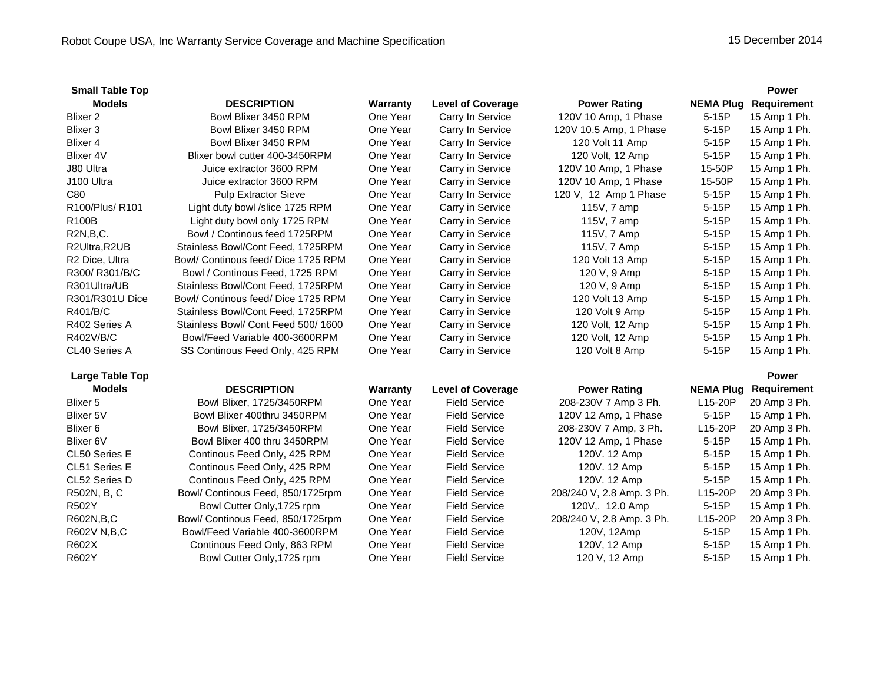| <b>Small Table Top</b> |                                     |          |                          |                           |                  | <b>Power</b>       |
|------------------------|-------------------------------------|----------|--------------------------|---------------------------|------------------|--------------------|
| <b>Models</b>          | <b>DESCRIPTION</b>                  | Warranty | <b>Level of Coverage</b> | <b>Power Rating</b>       | <b>NEMA Plug</b> | <b>Requirement</b> |
| Blixer <sub>2</sub>    | Bowl Blixer 3450 RPM                | One Year | Carry In Service         | 120V 10 Amp, 1 Phase      | 5-15P            | 15 Amp 1 Ph.       |
| Blixer <sub>3</sub>    | Bowl Blixer 3450 RPM                | One Year | Carry In Service         | 120V 10.5 Amp, 1 Phase    | 5-15P            | 15 Amp 1 Ph.       |
| Blixer 4               | Bowl Blixer 3450 RPM                | One Year | Carry In Service         | 120 Volt 11 Amp           | $5-15P$          | 15 Amp 1 Ph.       |
| <b>Blixer 4V</b>       | Blixer bowl cutter 400-3450RPM      | One Year | Carry In Service         | 120 Volt, 12 Amp          | 5-15P            | 15 Amp 1 Ph.       |
| J80 Ultra              | Juice extractor 3600 RPM            | One Year | Carry in Service         | 120V 10 Amp, 1 Phase      | 15-50P           | 15 Amp 1 Ph.       |
| J100 Ultra             | Juice extractor 3600 RPM            | One Year | Carry in Service         | 120V 10 Amp, 1 Phase      | 15-50P           | 15 Amp 1 Ph.       |
| C80                    | <b>Pulp Extractor Sieve</b>         | One Year | Carry In Service         | 120 V, 12 Amp 1 Phase     | 5-15P            | 15 Amp 1 Ph.       |
| R100/Plus/R101         | Light duty bowl /slice 1725 RPM     | One Year | Carry in Service         | 115V, 7 amp               | 5-15P            | 15 Amp 1 Ph.       |
| R100B                  | Light duty bowl only 1725 RPM       | One Year | Carry in Service         | 115V, 7 amp               | 5-15P            | 15 Amp 1 Ph.       |
| R2N,B,C.               | Bowl / Continous feed 1725RPM       | One Year | Carry in Service         | 115V, 7 Amp               | 5-15P            | 15 Amp 1 Ph.       |
| R2Ultra, R2UB          | Stainless Bowl/Cont Feed, 1725RPM   | One Year | Carry in Service         | 115V, 7 Amp               | 5-15P            | 15 Amp 1 Ph.       |
| R2 Dice, Ultra         | Bowl/ Continous feed/ Dice 1725 RPM | One Year | Carry in Service         | 120 Volt 13 Amp           | 5-15P            | 15 Amp 1 Ph.       |
| R300/R301/B/C          | Bowl / Continous Feed, 1725 RPM     | One Year | Carry in Service         | 120 V, 9 Amp              | 5-15P            | 15 Amp 1 Ph.       |
| R301Ultra/UB           | Stainless Bowl/Cont Feed, 1725RPM   | One Year | Carry in Service         | 120 V, 9 Amp              | 5-15P            | 15 Amp 1 Ph.       |
| R301/R301U Dice        | Bowl/ Continous feed/ Dice 1725 RPM | One Year | Carry in Service         | 120 Volt 13 Amp           | 5-15P            | 15 Amp 1 Ph.       |
| R401/B/C               | Stainless Bowl/Cont Feed, 1725RPM   | One Year | Carry in Service         | 120 Volt 9 Amp            | 5-15P            | 15 Amp 1 Ph.       |
| R402 Series A          | Stainless Bowl/ Cont Feed 500/1600  | One Year | Carry in Service         | 120 Volt, 12 Amp          | 5-15P            | 15 Amp 1 Ph.       |
| R402V/B/C              | Bowl/Feed Variable 400-3600RPM      | One Year | Carry in Service         | 120 Volt, 12 Amp          | 5-15P            | 15 Amp 1 Ph.       |
| CL40 Series A          | SS Continous Feed Only, 425 RPM     | One Year | Carry in Service         | 120 Volt 8 Amp            | 5-15P            | 15 Amp 1 Ph.       |
| <b>Large Table Top</b> |                                     |          |                          |                           |                  | <b>Power</b>       |
| <b>Models</b>          | <b>DESCRIPTION</b>                  | Warranty | <b>Level of Coverage</b> | <b>Power Rating</b>       | <b>NEMA Plug</b> | <b>Requirement</b> |
| Blixer 5               | Bowl Blixer, 1725/3450RPM           | One Year | <b>Field Service</b>     | 208-230V 7 Amp 3 Ph.      | L15-20P          | 20 Amp 3 Ph.       |
| Blixer 5V              | Bowl Blixer 400thru 3450RPM         | One Year | <b>Field Service</b>     | 120V 12 Amp, 1 Phase      | $5-15P$          | 15 Amp 1 Ph.       |
| Blixer <sub>6</sub>    | Bowl Blixer, 1725/3450RPM           | One Year | <b>Field Service</b>     | 208-230V 7 Amp, 3 Ph.     | L15-20P          | 20 Amp 3 Ph.       |
| Blixer 6V              | Bowl Blixer 400 thru 3450RPM        | One Year | <b>Field Service</b>     | 120V 12 Amp, 1 Phase      | 5-15P            | 15 Amp 1 Ph.       |
| CL50 Series E          | Continous Feed Only, 425 RPM        | One Year | <b>Field Service</b>     | 120V. 12 Amp              | $5-15P$          | 15 Amp 1 Ph.       |
| CL51 Series E          | Continous Feed Only, 425 RPM        | One Year | <b>Field Service</b>     | 120V. 12 Amp              | $5-15P$          | 15 Amp 1 Ph.       |
| CL52 Series D          | Continous Feed Only, 425 RPM        | One Year | <b>Field Service</b>     | 120V. 12 Amp              | $5-15P$          | 15 Amp 1 Ph.       |
| R502N, B, C            | Bowl/ Continous Feed, 850/1725rpm   | One Year | <b>Field Service</b>     | 208/240 V, 2.8 Amp. 3 Ph. | L15-20P          | 20 Amp 3 Ph.       |
| R502Y                  | Bowl Cutter Only, 1725 rpm          | One Year | <b>Field Service</b>     | 120V, 12.0 Amp            | $5-15P$          | 15 Amp 1 Ph.       |
| R602N, B, C            | Bowl/ Continous Feed, 850/1725rpm   | One Year | <b>Field Service</b>     | 208/240 V, 2.8 Amp. 3 Ph. | L15-20P          | 20 Amp 3 Ph.       |
| R602V N,B,C            | Bowl/Feed Variable 400-3600RPM      | One Year | <b>Field Service</b>     | 120V, 12Amp               | $5-15P$          | 15 Amp 1 Ph.       |
| R602X                  | Continous Feed Only, 863 RPM        | One Year | <b>Field Service</b>     | 120V, 12 Amp              | $5-15P$          | 15 Amp 1 Ph.       |
| R602Y                  | Bowl Cutter Only, 1725 rpm          | One Year | <b>Field Service</b>     | 120 V, 12 Amp             | 5-15P            | 15 Amp 1 Ph.       |